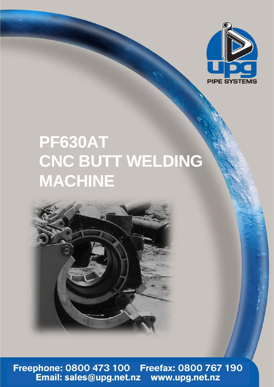

## **PF630AT CNC BUTT WELDING MACHINE**



Freephone: 0800 473 100 Freefax: 0800 767 190<br>Email: sales@upg.net.nz www.upg.net.nz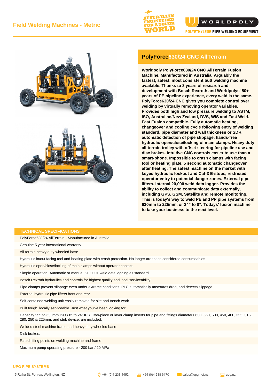







## **PolyForce630/24 CNC AllTerrain**

**Worldpoly PolyForce630/24 CNC AllTerrain Fusion Machine. Manufactured in Australia. Arguably the fastest, safest, most consistent butt welding machine available. Thanks to 3 years of research and development with Bosch Rexroth and Worldpolys' 50+ years of PE pipeline experience, every weld is the same. PolyForce630/24 CNC gives you complete control over welding by virtually removing operator variables. Provides both high and low pressure welding to ASTM, ISO, Australian/New Zealand, DVS, WIS and Fast Weld. Fast Fusion compatible. Fully automatic heating, changeover and cooling cycle following entry of welding standard, pipe diameter and wall thickness or SDR, automatic detection of pipe slippage, hands-free hydraulic open/close/locking of main clamps. Heavy duty all-terrain trolley with offset steering for pipeline use and disc brakes. Intuitive CNC controls easier to use than a smart-phone. Impossible to crash clamps with facing tool or heating plate. 5 second automatic changeover after heating. The safest machine on the market with keyed hydraulic lockout and Cat-3 E-stops, restricted operator entry to potential danger zones. External pipe lifters. Internal 20,000 weld data logger. Provides the ability to collect and communicate data externally, including GPS, GSM, Satellite and remote monitoring. This is today's way to weld PE and PP pipe systems from 630mm to 225mm, or 24" to 8". Todays' fusion machine to take your business to the next level.**

## **TECHNICAL SPECIFICATIONS**

PolyForce630/24 AllTerrain - Manufactured in Australia

Genuine 5 year international warranty

All-terrain heavy duty wheeled base

Hydraulic in/out facing tool and heating plate with crash protection. No longer are these considered consumeables

Hydraulic open/close/locking of main clamps without operator contact

Simple operation. Automatic or manual. 20,000+ weld data logging as standard

Bosch Rexroth hydraulics and controls for highest quality and local serviceability

Pipe clamps prevent slippage even under extreme conditions. PLC automatically measures drag, and detects slippage

External hydraulic pipe lifters front and rear

Self-contained welding unit easily removed for site and trench work

Built tough, locally serviceable. Just what you've been looking for

Capacity 255 to 630mm ISO / 8" to 24" IPS. Two-piece or layer clamp inserts for pipe and fittings diameters 630, 560, 500, 450, 400, 355, 315, 280, 250 & 225mm, and stub device, are included.

Welded steel machine frame and heavy duty wheeled base

Disk brakes.

Rated lifting points on welding machine and frame

Maximum pump operating pressure - 200 bar / 20 MPa